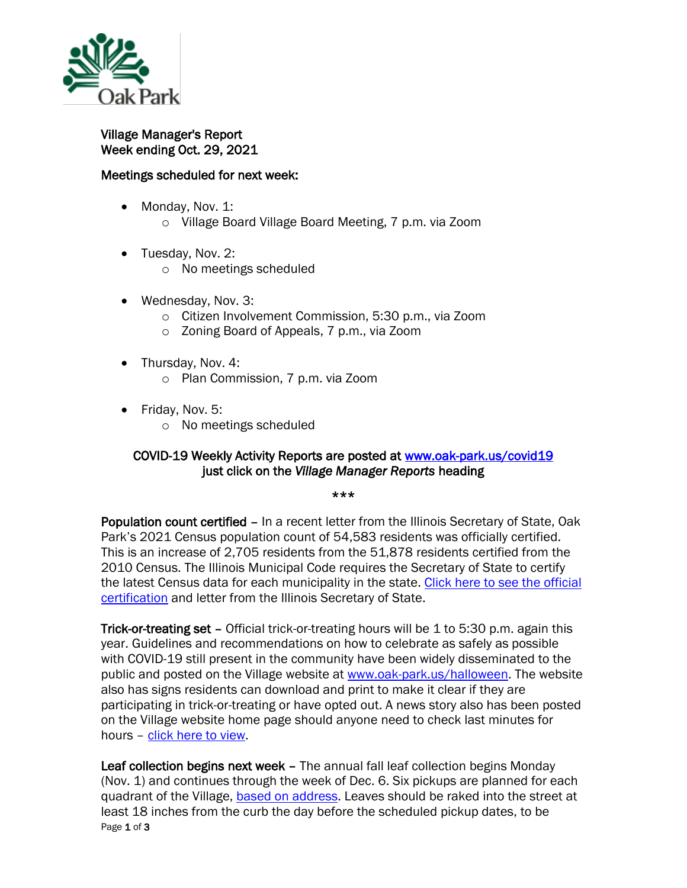

Village Manager's Report Week ending Oct. 29, 2021

## Meetings scheduled for next week:

- Monday, Nov. 1: o Village Board Village Board Meeting, 7 p.m. via Zoom
- Tuesday, Nov. 2:
	- o No meetings scheduled
- Wednesday, Nov. 3:
	- o Citizen Involvement Commission, 5:30 p.m., via Zoom
	- o Zoning Board of Appeals, 7 p.m., via Zoom
- Thursday, Nov. 4:
	- o Plan Commission, 7 p.m. via Zoom
- Friday, Nov. 5:
	- o No meetings scheduled

## COVID-19 Weekly Activity Reports are posted at [www.oak-park.us/covid19](http://www.oak-park.us/covid19)  just click on the *Village Manager Reports* heading

\*\*\*

Population count certified – In a recent letter from the Illinois Secretary of State, Oak Park's 2021 Census population count of 54,583 residents was officially certified. This is an increase of 2,705 residents from the 51,878 residents certified from the 2010 Census. The Illinois Municipal Code requires the Secretary of State to certify the latest Census data for each municipality in the state. [Click here to see the official](https://www.oak-park.us/sites/default/files/456678891/2021-10-14-2020_census-population-certification.pdf)  [certification](https://www.oak-park.us/sites/default/files/456678891/2021-10-14-2020_census-population-certification.pdf) and letter from the Illinois Secretary of State.

Trick-or-treating set - Official trick-or-treating hours will be 1 to 5:30 p.m. again this year. Guidelines and recommendations on how to celebrate as safely as possible with COVID-19 still present in the community have been widely disseminated to the public and posted on the Village website at [www.oak-park.us/halloween.](http://www.oak-park.us/halloween) The website also has signs residents can download and print to make it clear if they are participating in trick-or-treating or have opted out. A news story also has been posted on the Village website home page should anyone need to check last minutes for hours – [click here to view.](https://www.oak-park.us/)

Page 1 of 3 Leaf collection begins next week – The annual fall leaf collection begins Monday (Nov. 1) and continues through the week of Dec. 6. Six pickups are planned for each quadrant of the Village, [based on address.](https://www.oak-park.us/newsletters/septemberoctober-2021/village-begin-collecting-leaves-november) Leaves should be raked into the street at least 18 inches from the curb the day before the scheduled pickup dates, to be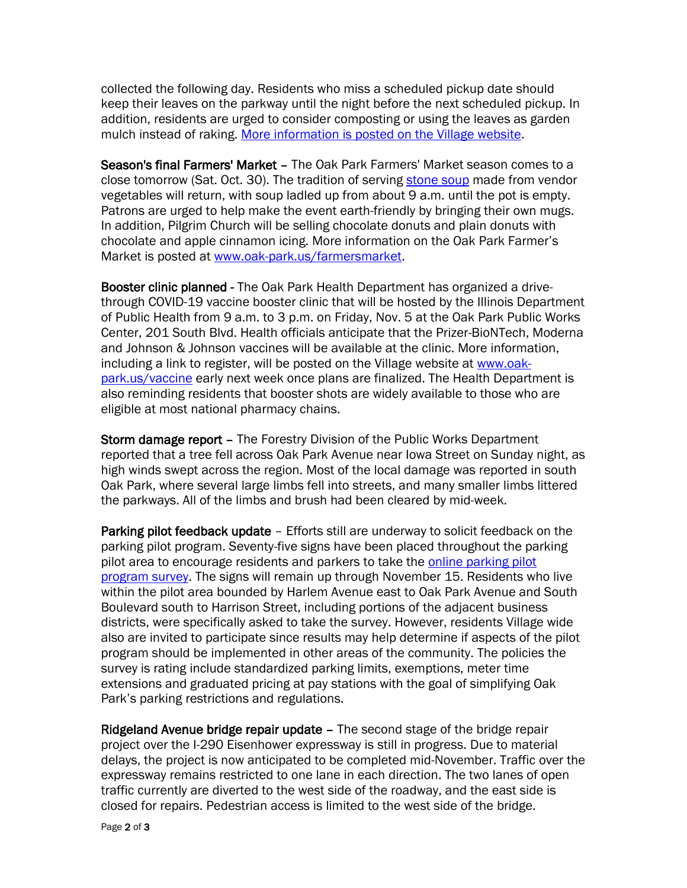collected the following day. Residents who miss a scheduled pickup date should keep their leaves on the parkway until the night before the next scheduled pickup. In addition, residents are urged to consider composting or using the leaves as garden mulch instead of raking. [More information is posted on the Village website.](https://www.oak-park.us/newsletters/septemberoctober-2021/village-begin-collecting-leaves-november)

Season's final Farmers' Market – The Oak Park Farmers' Market season comes to a close tomorrow (Sat. Oct. 30). The tradition of serving [stone soup](https://www.oak-park.us/our-community/farmers-market/stone-soup-oak-park-farmers-market) made from vendor vegetables will return, with soup ladled up from about 9 a.m. until the pot is empty. Patrons are urged to help make the event earth-friendly by bringing their own mugs. In addition, Pilgrim Church will be selling chocolate donuts and plain donuts with chocolate and apple cinnamon icing. More information on the Oak Park Farmer's Market is posted at [www.oak-park.us/farmersmarket.](http://www.oak-park.us/farmersmarket)

Booster clinic planned - The Oak Park Health Department has organized a drivethrough COVID-19 vaccine booster clinic that will be hosted by the Illinois Department of Public Health from 9 a.m. to 3 p.m. on Friday, Nov. 5 at the Oak Park Public Works Center, 201 South Blvd. Health officials anticipate that the Prizer-BioNTech, Moderna and Johnson & Johnson vaccines will be available at the clinic. More information, including a link to register, will be posted on the Village website at [www.oak](http://www.oak-park.us/vaccine)[park.us/vaccine](http://www.oak-park.us/vaccine) early next week once plans are finalized. The Health Department is also reminding residents that booster shots are widely available to those who are eligible at most national pharmacy chains.

Storm damage report - The Forestry Division of the Public Works Department reported that a tree fell across Oak Park Avenue near Iowa Street on Sunday night, as high winds swept across the region. Most of the local damage was reported in south Oak Park, where several large limbs fell into streets, and many smaller limbs littered the parkways. All of the limbs and brush had been cleared by mid-week.

Parking pilot feedback update – Efforts still are underway to solicit feedback on the parking pilot program. Seventy-five signs have been placed throughout the parking pilot area to encourage residents and parkers to take the online [parking pilot](https://www.surveymonkey.com/r/PR7C9F7)  [program survey.](https://www.surveymonkey.com/r/PR7C9F7) The signs will remain up through November 15. Residents who live within the pilot area bounded by Harlem Avenue east to Oak Park Avenue and South Boulevard south to Harrison Street, including portions of the adjacent business districts, were specifically asked to take the survey. However, residents Village wide also are invited to participate since results may help determine if aspects of the pilot program should be implemented in other areas of the community. The policies the survey is rating include standardized parking limits, exemptions, meter time extensions and graduated pricing at pay stations with the goal of simplifying Oak Park's parking restrictions and regulations.

Ridgeland Avenue bridge repair update – The second stage of the bridge repair project over the I-290 Eisenhower expressway is still in progress. Due to material delays, the project is now anticipated to be completed mid-November. Traffic over the expressway remains restricted to one lane in each direction. The two lanes of open traffic currently are diverted to the west side of the roadway, and the east side is closed for repairs. Pedestrian access is limited to the west side of the bridge.